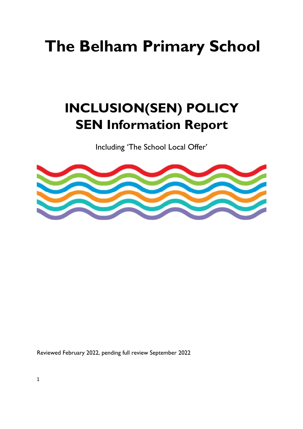# **The Belham Primary School**

# **INCLUSION(SEN) POLICY SEN Information Report**

Including 'The School Local Offer'



Reviewed February 2022, pending full review September 2022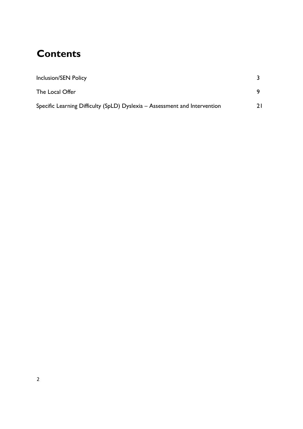# **Contents**

| <b>Inclusion/SEN Policy</b>                                                |  |
|----------------------------------------------------------------------------|--|
| The Local Offer                                                            |  |
| Specific Learning Difficulty (SpLD) Dyslexia - Assessment and Intervention |  |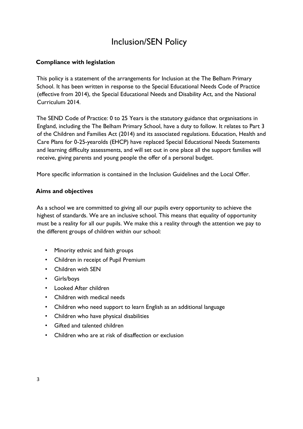# Inclusion/SEN Policy

# **Compliance with legislation**

This policy is a statement of the arrangements for Inclusion at the The Belham Primary School. It has been written in response to the Special Educational Needs Code of Practice (effective from 2014), the Special Educational Needs and Disability Act, and the National Curriculum 2014.

The SEND Code of Practice: 0 to 25 Years is the statutory guidance that organisations in England, including the The Belham Primary School, have a duty to follow. It relates to Part 3 of the Children and Families Act (2014) and its associated regulations. Education, Health and Care Plans for 0-25-yearolds (EHCP) have replaced Special Educational Needs Statements and learning difficulty assessments, and will set out in one place all the support families will receive, giving parents and young people the offer of a personal budget.

More specific information is contained in the Inclusion Guidelines and the Local Offer.

#### **Aims and objectives**

As a school we are committed to giving all our pupils every opportunity to achieve the highest of standards. We are an inclusive school. This means that equality of opportunity must be a reality for all our pupils. We make this a reality through the attention we pay to the different groups of children within our school:

- Minority ethnic and faith groups
- Children in receipt of Pupil Premium
- Children with SEN
- Girls/boys
- Looked After children
- Children with medical needs
- Children who need support to learn English as an additional language
- Children who have physical disabilities
- Gifted and talented children
- Children who are at risk of disaffection or exclusion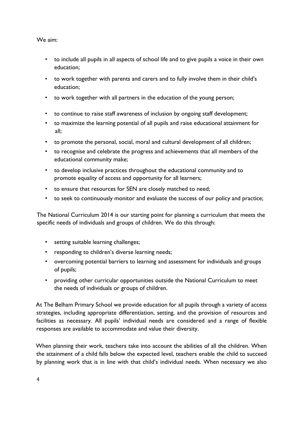#### We aim:

- to include all pupils in all aspects of school life and to give pupils a voice in their own education;
- to work together with parents and carers and to fully involve them in their child's education;
- to work together with all partners in the education of the young person;
- to continue to raise staff awareness of inclusion by ongoing staff development;
- to maximize the learning potential of all pupils and raise educational attainment for all;
- to promote the personal, social, moral and cultural development of all children;
- to recognise and celebrate the progress and achievements that all members of the educational community make;
- to develop inclusive practices throughout the educational community and to promote equality of access and opportunity for all learners;
- to ensure that resources for SEN are closely matched to need;
- to seek to continuously monitor and evaluate the success of our policy and practice;

The National Curriculum 2014 is our starting point for planning a curriculum that meets the specific needs of individuals and groups of children. We do this through:

- setting suitable learning challenges;
- responding to children's diverse learning needs;
- overcoming potential barriers to learning and assessment for individuals and groups of pupils;
- providing other curricular opportunities outside the National Curriculum to meet the needs of individuals or groups of children.

At The Belham Primary School we provide education for all pupils through a variety of access strategies, including appropriate differentiation, setting, and the provision of resources and facilities as necessary. All pupils' individual needs are considered and a range of flexible responses are available to accommodate and value their diversity.

When planning their work, teachers take into account the abilities of all the children. When the attainment of a child falls below the expected level, teachers enable the child to succeed by planning work that is in line with that child's individual needs. When necessary we also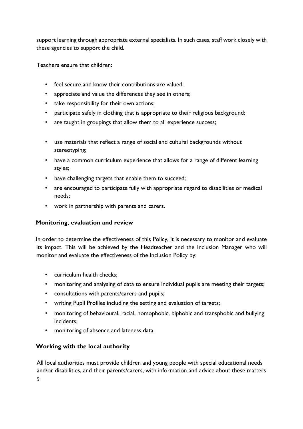support learning through appropriate external specialists. In such cases, staff work closely with these agencies to support the child.

Teachers ensure that children:

- feel secure and know their contributions are valued;
- appreciate and value the differences they see in others;
- take responsibility for their own actions;
- participate safely in clothing that is appropriate to their religious background;
- are taught in groupings that allow them to all experience success;
- use materials that reflect a range of social and cultural backgrounds without stereotyping;
- have a common curriculum experience that allows for a range of different learning styles;
- have challenging targets that enable them to succeed;
- are encouraged to participate fully with appropriate regard to disabilities or medical needs;
- work in partnership with parents and carers.

# **Monitoring, evaluation and review**

In order to determine the effectiveness of this Policy, it is necessary to monitor and evaluate its impact. This will be achieved by the Headteacher and the Inclusion Manager who will monitor and evaluate the effectiveness of the Inclusion Policy by:

- curriculum health checks;
- monitoring and analysing of data to ensure individual pupils are meeting their targets;
- consultations with parents/carers and pupils;
- writing Pupil Profiles including the setting and evaluation of targets;
- monitoring of behavioural, racial, homophobic, biphobic and transphobic and bullying incidents;
- monitoring of absence and lateness data.

# **Working with the local authority**

All local authorities must provide children and young people with special educational needs and/or disabilities, and their parents/carers, with information and advice about these matters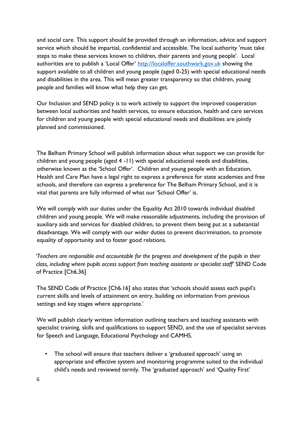and social care. This support should be provided through an information, advice and support service which should be impartial, confidential and accessible. The local authority 'must take steps to make these services known to children, their parents and young people'. Local authorities are to publish a 'Local Offer' [http://localoffer.southwark.gov.uk](http://localoffer.southwark.gov.uk/) showing the support available to all children and young people (aged 0-25) with special educational needs and disabilities in the area. This will mean greater transparency so that children, young people and families will know what help they can get.

Our Inclusion and SEND policy is to work actively to support the improved cooperation between local authorities and health services, to ensure education, health and care services for children and young people with special educational needs and disabilities are jointly planned and commissioned.

The Belham Primary School will publish information about what support we can provide for children and young people (aged 4 -11) with special educational needs and disabilities, otherwise known as the 'School Offer'. Children and young people with an Education, Health and Care Plan have a legal right to express a preference for state academies and free schools, and therefore can express a preference for The Belham Primary School, and it is vital that parents are fully informed of what our 'School Offer' is.

We will comply with our duties under the Equality Act 2010 towards individual disabled children and young people. We will make reasonable adjustments, including the provision of auxiliary aids and services for disabled children, to prevent them being put at a substantial disadvantage. We will comply with our wider duties to prevent discrimination, to promote equality of opportunity and to foster good relations.

*'Teachers are responsible and accountable for the progress and development of the pupils in their class, including where pupils access support from teaching assistants or specialist staff'* SEND Code of Practice [Ch6.36]

The SEND Code of Practice [Ch6.16] also states that 'schools should assess each pupil's current skills and levels of attainment on entry, building on information from previous settings and key stages where appropriate.'

We will publish clearly written information outlining teachers and teaching assistants with specialist training, skills and qualifications to support SEND, and the use of specialist services for Speech and Language, Educational Psychology and CAMHS.

• The school will ensure that teachers deliver a 'graduated approach' using an appropriate and effective system and monitoring programme suited to the individual child's needs and reviewed termly. The 'graduated approach' and 'Quality First'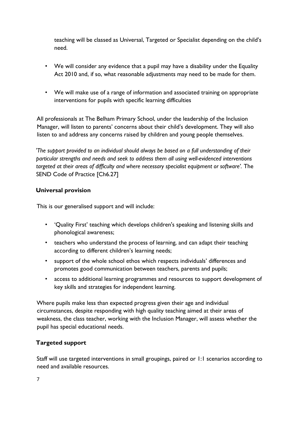teaching will be classed as Universal, Targeted or Specialist depending on the child's need.

- We will consider any evidence that a pupil may have a disability under the Equality Act 2010 and, if so, what reasonable adjustments may need to be made for them.
- We will make use of a range of information and associated training on appropriate interventions for pupils with specific learning difficulties

All professionals at The Belham Primary School, under the leadership of the Inclusion Manager, will listen to parents' concerns about their child's development. They will also listen to and address any concerns raised by children and young people themselves.

*'The support provided to an individual should always be based on a full understanding of their particular strengths and needs and seek to address them all using well-evidenced interventions targeted at their areas of difficulty and where necessary specialist equipment or software'.* The SEND Code of Practice [Ch6.27]

#### **Universal provision**

This is our generalised support and will include:

- 'Quality First' teaching which develops children's speaking and listening skills and phonological awareness;
- teachers who understand the process of learning, and can adapt their teaching according to different children's learning needs;
- support of the whole school ethos which respects individuals' differences and promotes good communication between teachers, parents and pupils;
- access to additional learning programmes and resources to support development of key skills and strategies for independent learning.

Where pupils make less than expected progress given their age and individual circumstances, despite responding with high quality teaching aimed at their areas of weakness, the class teacher, working with the Inclusion Manager, will assess whether the pupil has special educational needs.

# **Targeted support**

Staff will use targeted interventions in small groupings, paired or 1:1 scenarios according to need and available resources.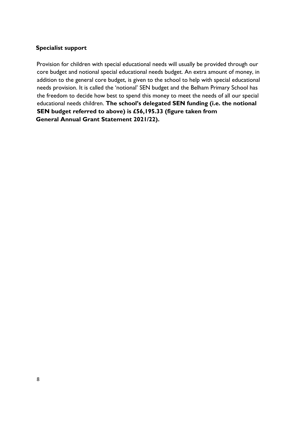#### **Specialist support**

Provision for children with special educational needs will usually be provided through our core budget and notional special educational needs budget. An extra amount of money, in addition to the general core budget, is given to the school to help with special educational needs provision. It is called the 'notional' SEN budget and the Belham Primary School has the freedom to decide how best to spend this money to meet the needs of all our special educational needs children. **The school's delegated SEN funding (i.e. the notional SEN budget referred to above) is £56,195.33 (figure taken from General Annual Grant Statement 2021/22).**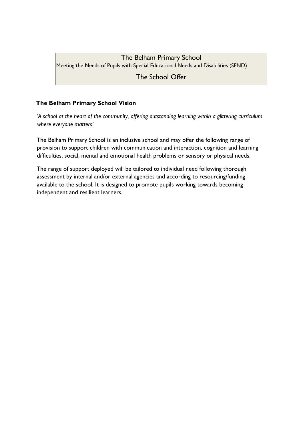# The Belham Primary School

Meeting the Needs of Pupils with Special Educational Needs and Disabilities (SEND)

The School Offer

# **The Belham Primary School Vision**

*'A school at the heart of the community, offering outstanding learning within a glittering curriculum where everyone matters'*

The Belham Primary School is an inclusive school and may offer the following range of provision to support children with communication and interaction, cognition and learning difficulties, social, mental and emotional health problems or sensory or physical needs.

The range of support deployed will be tailored to individual need following thorough assessment by internal and/or external agencies and according to resourcing/funding available to the school. It is designed to promote pupils working towards becoming independent and resilient learners.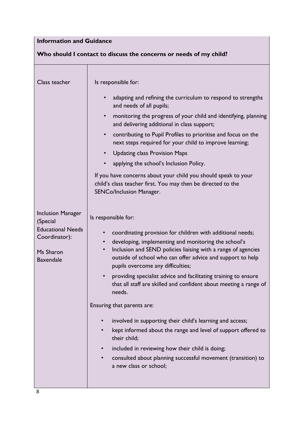# **Information and Guidance**

# **Who should I contact to discuss the concerns or needs of my child?**

| Class teacher                                                                                                      | Is responsible for:<br>adapting and refining the curriculum to respond to strengths<br>and needs of all pupils;<br>monitoring the progress of your child and identifying, planning<br>$\bullet$<br>and delivering additional in class support;<br>contributing to Pupil Profiles to prioritise and focus on the<br>$\bullet$<br>next steps required for your child to improve learning;<br><b>Updating class Provision Maps</b><br>$\bullet$<br>applying the school's Inclusion Policy.<br>If you have concerns about your child you should speak to your<br>child's class teacher first. You may then be directed to the<br>SENCo/Inclusion Manager.                                                                                                                                                                                                                  |
|--------------------------------------------------------------------------------------------------------------------|------------------------------------------------------------------------------------------------------------------------------------------------------------------------------------------------------------------------------------------------------------------------------------------------------------------------------------------------------------------------------------------------------------------------------------------------------------------------------------------------------------------------------------------------------------------------------------------------------------------------------------------------------------------------------------------------------------------------------------------------------------------------------------------------------------------------------------------------------------------------|
| <b>Inclusion Manager</b><br>(Special<br><b>Educational Needs</b><br>Coordinator):<br>Ms Sharon<br><b>Baxendale</b> | Is responsible for:<br>coordinating provision for children with additional needs;<br>$\bullet$<br>developing, implementing and monitoring the school's<br>$\bullet$<br>Inclusion and SEND policies liaising with a range of agencies<br>$\bullet$<br>outside of school who can offer advice and support to help<br>pupils overcome any difficulties;<br>providing specialist advice and facilitating training to ensure<br>$\bullet$<br>that all staff are skilled and confident about meeting a range of<br>needs.<br>Ensuring that parents are:<br>involved in supporting their child's learning and access;<br>kept informed about the range and level of support offered to<br>their child;<br>included in reviewing how their child is doing;<br>$\bullet$<br>consulted about planning successful movement (transition) to<br>$\bullet$<br>a new class or school; |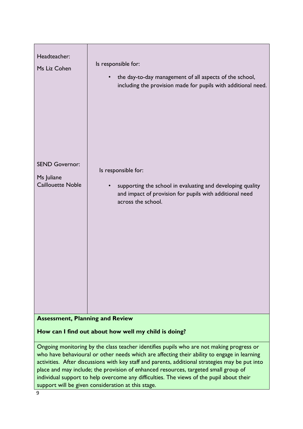| Headteacher:<br>Ms Liz Cohen                                    | Is responsible for:<br>the day-to-day management of all aspects of the school,<br>including the provision made for pupils with additional need. |
|-----------------------------------------------------------------|-------------------------------------------------------------------------------------------------------------------------------------------------|
| <b>SEND Governor:</b><br>Ms Juliane<br><b>Caillouette Noble</b> | Is responsible for:<br>supporting the school in evaluating and developing quality<br>and impact of provision for pupils with additional need    |
|                                                                 | across the school.                                                                                                                              |
|                                                                 |                                                                                                                                                 |

# **Assessment, Planning and Review**

# **How can I find out about how well my child is doing?**

Ongoing monitoring by the class teacher identifies pupils who are not making progress or who have behavioural or other needs which are affecting their ability to engage in learning activities. After discussions with key staff and parents, additional strategies may be put into place and may include; the provision of enhanced resources, targeted small group of individual support to help overcome any difficulties. The views of the pupil about their support will be given consideration at this stage.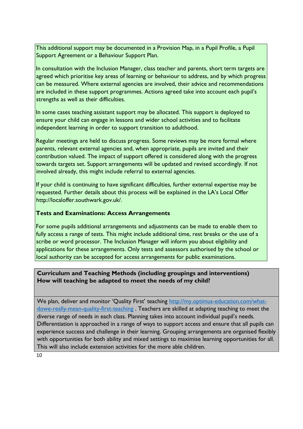This additional support may be documented in a Provision Map, in a Pupil Profile, a Pupil Support Agreement or a Behaviour Support Plan.

In consultation with the Inclusion Manager, class teacher and parents, short term targets are agreed which prioritise key areas of learning or behaviour to address, and by which progress can be measured. Where external agencies are involved, their advice and recommendations are included in these support programmes. Actions agreed take into account each pupil's strengths as well as their difficulties.

In some cases teaching assistant support may be allocated. This support is deployed to ensure your child can engage in lessons and wider school activities and to facilitate independent learning in order to support transition to adulthood.

Regular meetings are held to discuss progress. Some reviews may be more formal where parents, relevant external agencies and, when appropriate, pupils are invited and their contribution valued. The impact of support offered is considered along with the progress towards targets set. Support arrangements will be updated and revised accordingly. If not involved already, this might include referral to external agencies.

If your child is continuing to have significant difficulties, further external expertise may be requested. Further details about this process will be explained in the LA's Local Offer http://localoffer.southwark.gov.uk/.

### **Tests and Examinations: Access Arrangements**

For some pupils additional arrangements and adjustments can be made to enable them to fully access a range of tests. This might include additional time, rest breaks or the use of a scribe or word processor. The Inclusion Manager will inform you about eligibility and applications for these arrangements. Only tests and assessors authorised by the school or local authority can be accepted for access arrangements for public examinations.

#### **Curriculum and Teaching Methods (including groupings and interventions) How will teaching be adapted to meet the needs of my child?**

We plan, deliver and monitor 'Quality First' teachin[g](http://my.optimus-education.com/what-do-we-really-mean-quality-first-teaching) [http://my.optimus-education.com/what](http://my.optimus-education.com/what-do-we-really-mean-quality-first-teaching)[dowe-really-mean-quality-first-teaching](http://my.optimus-education.com/what-do-we-really-mean-quality-first-teaching) . Teachers are skilled at adapting teaching to meet the diverse range of needs in each class. Planning takes into account individual pupil's needs. Differentiation is approached in a range of ways to support access and ensure that all pupils can experience success and challenge in their learning. Grouping arrangements are organised flexibly with opportunities for both ability and mixed settings to maximise learning opportunities for all. This will also include extension activities for the more able children.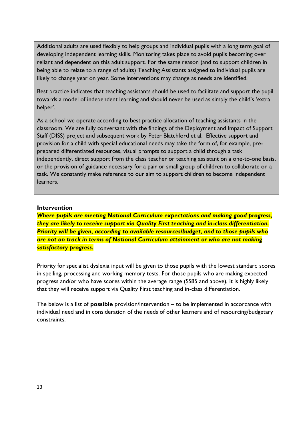Additional adults are used flexibly to help groups and individual pupils with a long term goal of developing independent learning skills. Monitoring takes place to avoid pupils becoming over reliant and dependent on this adult support. For the same reason (and to support children in being able to relate to a range of adults) Teaching Assistants assigned to individual pupils are likely to change year on year. Some interventions may change as needs are identified.

Best practice indicates that teaching assistants should be used to facilitate and support the pupil towards a model of independent learning and should never be used as simply the child's 'extra helper'.

As a school we operate according to best practice allocation of teaching assistants in the classroom. We are fully conversant with the findings of the Deployment and Impact of Support Staff (DISS) project and subsequent work by Peter Blatchford et al. Effective support and provision for a child with special educational needs may take the form of, for example, preprepared differentiated resources, visual prompts to support a child through a task independently, direct support from the class teacher or teaching assistant on a one-to-one basis, or the provision of guidance necessary for a pair or small group of children to collaborate on a task. We constantly make reference to our aim to support children to become independent learners.

#### **Intervention**

*Where pupils are meeting National Curriculum expectations and making good progress, they are likely to receive support via Quality First teaching and in-class differentiation. Priority will be given, according to available resources/budget, and to those pupils who are not on track in terms of National Curriculum attainment or who are not making satisfactory progress.* 

Priority for specialist dyslexia input will be given to those pupils with the lowest standard scores in spelling, processing and working memory tests. For those pupils who are making expected progress and/or who have scores within the average range (SS85 and above), it is highly likely that they will receive support via Quality First teaching and in-class differentiation.

The below is a list of **possible** provision/intervention – to be implemented in accordance with individual need and in consideration of the needs of other learners and of resourcing/budgetary constraints.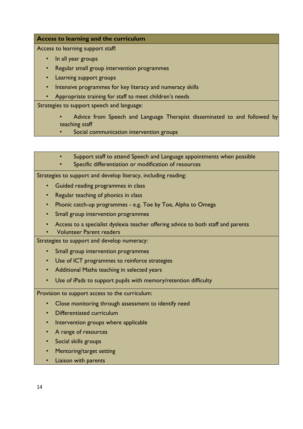#### **Access to learning and the curriculum**

Access to learning support staff:

- In all year groups
- Regular small group intervention programmes
- Learning support groups
- Intensive programmes for key literacy and numeracy skills
- Appropriate training for staff to meet children's needs

Strategies to support speech and language:

- Advice from Speech and Language Therapist disseminated to and followed by teaching staff
	- Social communication intervention groups
- Support staff to attend Speech and Language appointments when possible
- Specific differentiation or modification of resources

Strategies to support and develop literacy, including reading:

- Guided reading programmes in class
- Regular teaching of phonics in class
- Phonic catch-up programmes e.g. Toe by Toe, Alpha to Omega
- Small group intervention programmes
- Access to a specialist dyslexia teacher offering advice to both staff and parents
- Volunteer Parent readers

Strategies to support and develop numeracy:

- Small group intervention programmes
- Use of ICT programmes to reinforce strategies
- Additional Maths teaching in selected years
- Use of iPads to support pupils with memory/retention difficulty

Provision to support access to the curriculum:

- Close monitoring through assessment to identify need
- Differentiated curriculum
- Intervention groups where applicable
- A range of resources
- Social skills groups
- Mentoring/target setting
- Liaison with parents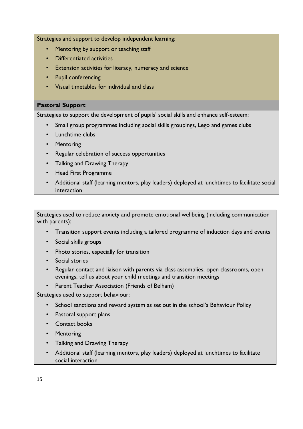Strategies and support to develop independent learning:

- Mentoring by support or teaching staff
- Differentiated activities
- Extension activities for literacy, numeracy and science
- Pupil conferencing
- Visual timetables for individual and class

#### **Pastoral Support**

Strategies to support the development of pupils' social skills and enhance self-esteem:

- Small group programmes including social skills groupings, Lego and games clubs
- Lunchtime clubs
- Mentoring
- Regular celebration of success opportunities
- Talking and Drawing Therapy
- Head First Programme
- Additional staff (learning mentors, play leaders) deployed at lunchtimes to facilitate social interaction

Strategies used to reduce anxiety and promote emotional wellbeing (including communication with parents):

- Transition support events including a tailored programme of induction days and events
- Social skills groups
- Photo stories, especially for transition
- Social stories
- Regular contact and liaison with parents via class assemblies, open classrooms, open evenings, tell us about your child meetings and transition meetings
- Parent Teacher Association (Friends of Belham)

Strategies used to support behaviour:

- School sanctions and reward system as set out in the school's Behaviour Policy
- Pastoral support plans
- Contact books
- Mentoring
- Talking and Drawing Therapy
- Additional staff (learning mentors, play leaders) deployed at lunchtimes to facilitate social interaction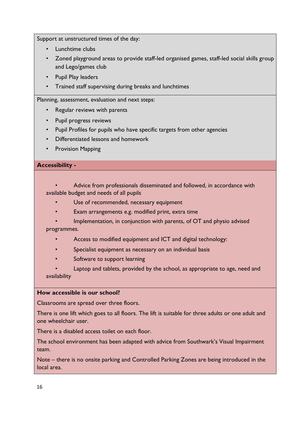Support at unstructured times of the day:

- Lunchtime clubs
- Zoned playground areas to provide staff-led organised games, staff-led social skills group and Lego/games club
- Pupil Play leaders
- Trained staff supervising during breaks and lunchtimes

Planning, assessment, evaluation and next steps:

- Regular reviews with parents
- Pupil progress reviews
- Pupil Profiles for pupils who have specific targets from other agencies
- Differentiated lessons and homework
- Provision Mapping

#### **Accessibility -**

- Advice from professionals disseminated and followed, in accordance with available budget and needs of all pupils
	- Use of recommended, necessary equipment
	- Exam arrangements e.g. modified print, extra time
- Implementation, in conjunction with parents, of OT and physio advised programmes.
	- Access to modified equipment and ICT and digital technology:
	- Specialist equipment as necessary on an individual basis
	- Software to support learning
- Laptop and tablets, provided by the school, as appropriate to age, need and availability

#### **How accessible is our school?**

Classrooms are spread over three floors.

There is one lift which goes to all floors. The lift is suitable for three adults or one adult and one wheelchair user.

There is a disabled access toilet on each floor.

The school environment has been adapted with advice from Southwark's Visual Impairment team.

Note – there is no onsite parking and Controlled Parking Zones are being introduced in the local area.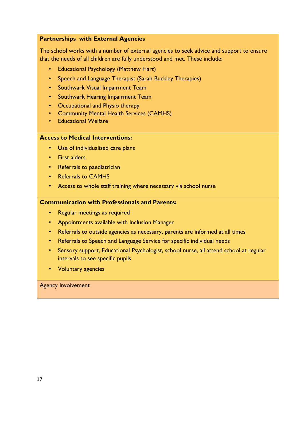#### **Partnerships with External Agencies**

The school works with a number of external agencies to seek advice and support to ensure that the needs of all children are fully understood and met. These include:

- Educational Psychology (Matthew Hart)
- Speech and Language Therapist (Sarah Buckley Therapies)
- Southwark Visual Impairment Team
- Southwark Hearing Impairment Team
- Occupational and Physio therapy
- Community Mental Health Services (CAMHS)
- Educational Welfare

#### **Access to Medical Interventions:**

- Use of individualised care plans
- First aiders
- Referrals to paediatrician
- Referrals to CAMHS
- Access to whole staff training where necessary via school nurse

#### **Communication with Professionals and Parents:**

- Regular meetings as required
- Appointments available with Inclusion Manager
- Referrals to outside agencies as necessary, parents are informed at all times
- Referrals to Speech and Language Service for specific individual needs
- Sensory support, Educational Psychologist, school nurse, all attend school at regular intervals to see specific pupils
- Voluntary agencies

#### Agency Involvement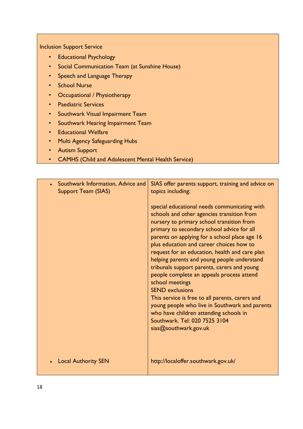Inclusion Support Service

- Educational Psychology
- Social Communication Team (at Sunshine House)
- Speech and Language Therapy
- School Nurse
- Occupational / Physiotherapy
- Paediatric Services
- Southwark Visual Impairment Team
- Southwark Hearing Impairment Team
- Educational Welfare
- Multi Agency Safeguarding Hubs
- Autism Support
- CAMHS (Child and Adolescent Mental Health Service)

| Southwark Information, Advice and<br>$\bullet$<br><b>Support Team (SIAS)</b> | SIAS offer parents support, training and advice on<br>topics including:<br>special educational needs communicating with<br>schools and other agencies transition from<br>nursery to primary school transition from<br>primary to secondary school advice for all<br>parents on applying for a school place age 16<br>plus education and career choices how to<br>request for an education, health and care plan<br>helping parents and young people understand |
|------------------------------------------------------------------------------|----------------------------------------------------------------------------------------------------------------------------------------------------------------------------------------------------------------------------------------------------------------------------------------------------------------------------------------------------------------------------------------------------------------------------------------------------------------|
|                                                                              | tribunals support parents, carers and young<br>people complete an appeals process attend<br>school meetings<br><b>SEND exclusions</b><br>This service is free to all parents, carers and<br>young people who live in Southwark and parents<br>who have children attending schools in<br>Southwark, Tel: 020 7525 3104<br>sias@southwark.gov.uk                                                                                                                 |
| <b>Local Authority SEN</b>                                                   | http://localoffer.southwark.gov.uk/                                                                                                                                                                                                                                                                                                                                                                                                                            |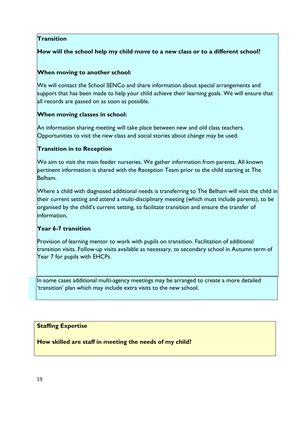# **Transition**

## **How will the school help my child move to a new class or to a different school?**

#### **When moving to another school:**

We will contact the School SENCo and share information about special arrangements and support that has been made to help your child achieve their learning goals. We will ensure that all records are passed on as soon as possible.

#### **When moving classes in school:**

An information sharing meeting will take place between new and old class teachers. Opportunities to visit the new class and social stories about change may be used.

#### **Transition in to Reception**

We aim to visit the main feeder nurseries. We gather information from parents. All known pertinent information is shared with the Reception Team prior to the child starting at The Belham.

Where a child with diagnosed additional needs is transferring to The Belham will visit the child in their current setting and attend a multi-disciplinary meeting (which must include parents), to be organised by the child's current setting, to facilitate transition and ensure the transfer of information,

#### **Year 6-7 transition**

Provision of learning mentor to work with pupils on transition. Facilitation of additional transition visits. Follow-up visits available as necessary, to secondary school in Autumn term of Year 7 for pupils with EHCPs.

In some cases additional multi-agency meetings may be arranged to create a more detailed 'transition' plan which may include extra visits to the new school.

#### **Staffing Expertise**

**How skilled are staff in meeting the needs of my child?**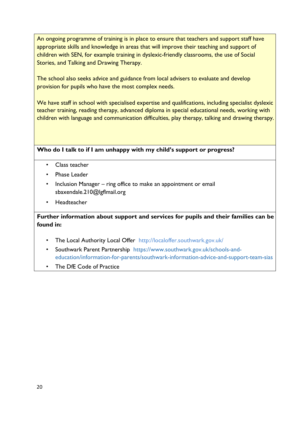An ongoing programme of training is in place to ensure that teachers and support staff have appropriate skills and knowledge in areas that will improve their teaching and support of children with SEN, for example training in dyslexic-friendly classrooms, the use of Social Stories, and Talking and Drawing Therapy.

The school also seeks advice and guidance from local advisers to evaluate and develop provision for pupils who have the most complex needs.

We have staff in school with specialised expertise and qualifications, including specialist dyslexic teacher training, reading therapy, advanced diploma in special educational needs, working with children with language and communication difficulties, play therapy, talking and drawing therapy.

#### **Who do I talk to if I am unhappy with my child's support or progress?**

- Class teacher
- Phase Leader
- Inclusion Manager ring office to make an appointment or email sbaxendale.210@lgflmail.org
- **Headteacher**

# **Further information about support and services for pupils and their families can be found in:**

- The Local Authority Local Offer http://localoffer.southwark.gov.uk/
- Southwark Parent Partnership https://www.southwark.gov.uk/schools-andeducation/information-for-parents/southwark-information-advice-and-support-team-sias
- The DfE Code of Practice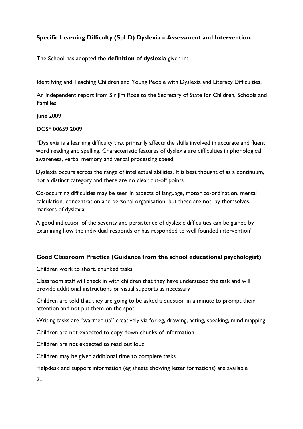# **Specific Learning Difficulty (SpLD) Dyslexia – Assessment and Intervention.**

The School has adopted the **definition of dyslexia** given in:

Identifying and Teaching Children and Young People with Dyslexia and Literacy Difficulties.

An independent report from Sir Jim Rose to the Secretary of State for Children, Schools and Families

June 2009

DCSF 00659 2009

'Dyslexia is a learning difficulty that primarily affects the skills involved in accurate and fluent word reading and spelling. Characteristic features of dyslexia are difficulties in phonological awareness, verbal memory and verbal processing speed.

Dyslexia occurs across the range of intellectual abilities. It is best thought of as a continuum, not a distinct category and there are no clear cut-off points.

Co-occurring difficulties may be seen in aspects of language, motor co-ordination, mental calculation, concentration and personal organisation, but these are not, by themselves, markers of dyslexia.

A good indication of the severity and persistence of dyslexic difficulties can be gained by examining how the individual responds or has responded to well founded intervention'

# **Good Classroom Practice (Guidance from the school educational psychologist)**

Children work to short, chunked tasks

Classroom staff will check in with children that they have understood the task and will provide additional instructions or visual supports as necessary

Children are told that they are going to be asked a question in a minute to prompt their attention and not put them on the spot

Writing tasks are "warmed up" creatively via for eg, drawing, acting, speaking, mind mapping

Children are not expected to copy down chunks of information.

Children are not expected to read out loud

Children may be given additional time to complete tasks

Helpdesk and support information (eg sheets showing letter formations) are available

21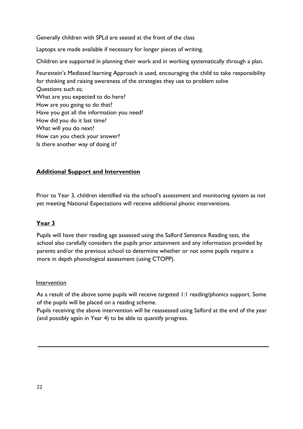Generally children with SPLd are seated at the front of the class

Laptops are made available if necessary for longer pieces of writing.

Children are supported in planning their work and in working systematically through a plan.

Feurestein's Mediated learning Approach is used, encouraging the child to take responsibility for thinking and raising awareness of the strategies they use to problem solve Questions such as; What are you expected to do here? How are you going to do that? Have you got all the information you need? How did you do it last time? What will you do next? How can you check your answer? Is there another way of doing it?

#### **Additional Support and Intervention**

Prior to Year 3, children identified via the school's assessment and monitoring system as not yet meeting National Expectations will receive additional phonic interventions.

#### **Year 3**

Pupils will have their reading age assessed using the Salford Sentence Reading test, the school also carefully considers the pupils prior attainment and any information provided by parents and/or the previous school to determine whether or not some pupils require a more in depth phonological assessment (using CTOPP).

#### Intervention

As a result of the above some pupils will receive targeted 1:1 reading/phonics support. Some of the pupils will be placed on a reading scheme.

Pupils receiving the above intervention will be reassessed using Salford at the end of the year (and possibly again in Year 4) to be able to quantify progress.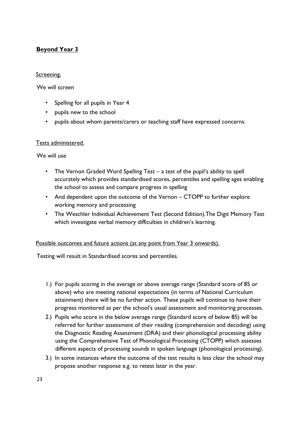# **Beyond Year 3**

#### Screening.

We will screen

- Spelling for all pupils in Year 4
- pupils new to the school
- pupils about whom parents/carers or teaching staff have expressed concerns.

#### Tests administered.

We will use

- The Vernon Graded Word Spelling Test a test of the pupil's ability to spell accurately which provides standardised scores, percentiles and spelling ages enabling the school to assess and compare progress in spelling
- And dependent upon the outcome of the Vernon CTOPP to further explore working memory and processing
- The Weschler Individual Achievement Test (Second Edition).The Digit Memory Test which investigate verbal memory difficulties in children's learning.

#### Possible outcomes and future actions (at any point from Year 3 onwards).

Testing will result in Standardised scores and percentiles.

- 1.) For pupils scoring in the average or above average range (Standard score of 85 or above) who are meeting national expectations (in terms of National Curriculum attainment) there will be no further action. These pupils will continue to have their progress monitored as per the school's usual assessment and monitoring processes.
- 2.) Pupils who score in the below average range (Standard score of below 85) will be referred for further assessment of their reading (comprehension and decoding) using the Diagnostic Reading Assessment (DRA) and their phonological processing ability using the Comprehensive Test of Phonological Processing (CTOPP) which assesses different aspects of processing sounds in spoken language (phonological processing).
- 3.) In some instances where the outcome of the test results is less clear the school may propose another response e.g. to retest later in the year.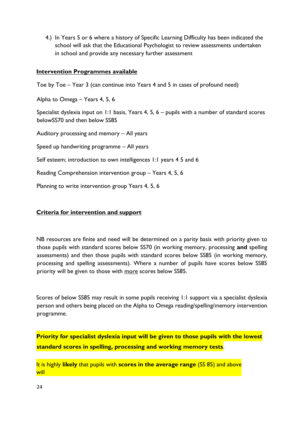4.) In Years 5 or 6 where a history of Specific Learning Difficulty has been indicated the school will ask that the Educational Psychologist to review assessments undertaken in school and provide any necessary further assessment

#### **Intervention Programmes available**

Toe by Toe – Year 3 (can continue into Years 4 and 5 in cases of profound need)

Alpha to Omega – Years 4, 5, 6

Specialist dyslexia input on 1:1 basis, Years 4, 5, 6 – pupils with a number of standard scores belowSS70 and then below SS85

Auditory processing and memory – All years Speed up handwriting programme – All years Self esteem; introduction to own intelligences 1:1 years 4.5 and 6 Reading Comprehension intervention group – Years 4, 5, 6

Planning to write intervention group Years 4, 5, 6

#### **Criteria for intervention and support**

NB resources are finite and need will be determined on a parity basis with priority given to those pupils with standard scores below SS70 (in working memory, processing **and** spelling assessments) and then those pupils with standard scores below SS85 (in working memory, processing and spelling assessments). Where a number of pupils have scores below SS85 priority will be given to those with more scores below SS85.

Scores of below SS85 may result in some pupils receiving 1:1 support via a specialist dyslexia person and others being placed on the Alpha to Omega reading/spelling/memory intervention programme.

**Priority for specialist dyslexia input will be given to those pupils with the lowest standard scores in spelling, processing and working memory tests**.

It is highly **likely** that pupils with **scores in the average range** (SS 85) and above will